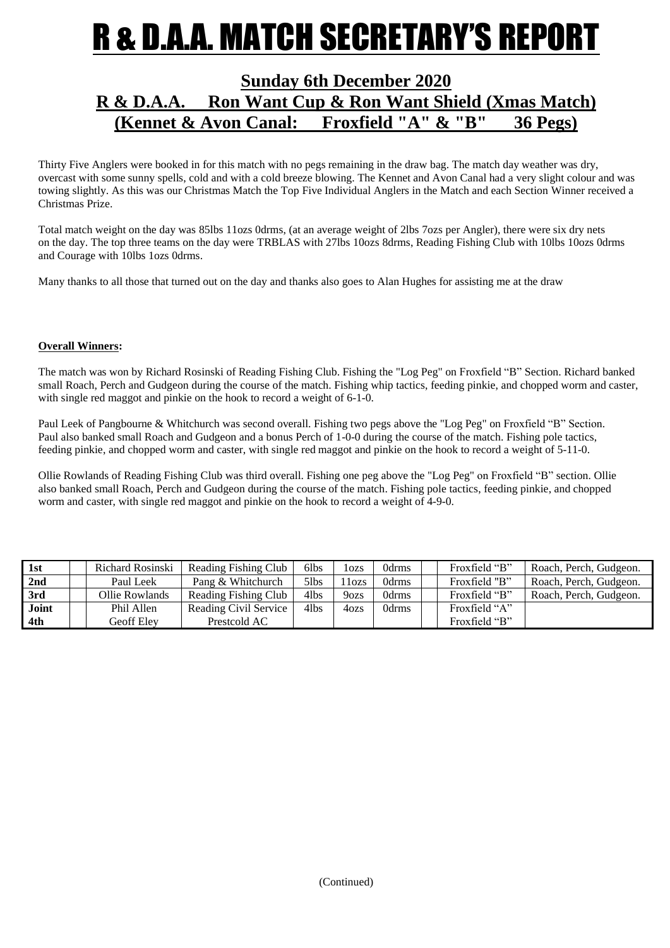### **R & D.A.A. MATCH SECRETARY'S REPOI**

### **Sunday 6th December 2020 R & D.A.A. Ron Want Cup & Ron Want Shield (Xmas Match) (Kennet & Avon Canal: Froxfield "A" & "B" 36 Pegs)**

Thirty Five Anglers were booked in for this match with no pegs remaining in the draw bag. The match day weather was dry, overcast with some sunny spells, cold and with a cold breeze blowing. The Kennet and Avon Canal had a very slight colour and was towing slightly. As this was our Christmas Match the Top Five Individual Anglers in the Match and each Section Winner received a Christmas Prize.

Total match weight on the day was 85lbs 11ozs 0drms, (at an average weight of 2lbs 7ozs per Angler), there were six dry nets on the day. The top three teams on the day were TRBLAS with 27lbs 10ozs 8drms, Reading Fishing Club with 10lbs 10ozs 0drms and Courage with 10lbs 1ozs 0drms.

Many thanks to all those that turned out on the day and thanks also goes to Alan Hughes for assisting me at the draw

#### **Overall Winners:**

The match was won by Richard Rosinski of Reading Fishing Club. Fishing the "Log Peg" on Froxfield "B" Section. Richard banked small Roach, Perch and Gudgeon during the course of the match. Fishing whip tactics, feeding pinkie, and chopped worm and caster, with single red maggot and pinkie on the hook to record a weight of 6-1-0.

Paul Leek of Pangbourne & Whitchurch was second overall. Fishing two pegs above the "Log Peg" on Froxfield "B" Section. Paul also banked small Roach and Gudgeon and a bonus Perch of 1-0-0 during the course of the match. Fishing pole tactics, feeding pinkie, and chopped worm and caster, with single red maggot and pinkie on the hook to record a weight of 5-11-0.

Ollie Rowlands of Reading Fishing Club was third overall. Fishing one peg above the "Log Peg" on Froxfield "B" section. Ollie also banked small Roach, Perch and Gudgeon during the course of the match. Fishing pole tactics, feeding pinkie, and chopped worm and caster, with single red maggot and pinkie on the hook to record a weight of 4-9-0.

| 1st   | Richard Rosinski | Reading Fishing Club  | 6lbs | lozs              | 0drms | Froxfield "B" | Roach, Perch, Gudgeon. |
|-------|------------------|-----------------------|------|-------------------|-------|---------------|------------------------|
| 2nd   | Paul Leek        | Pang & Whitchurch     | 5lbs | 11 <sub>ozs</sub> | 0drms | Froxfield "B" | Roach, Perch, Gudgeon. |
| 3rd   | Ollie Rowlands   | Reading Fishing Club  | 4lbs | 9 <sub>ozs</sub>  | 0drms | Froxfield "B" | Roach, Perch, Gudgeon. |
| Joint | Phil Allen       | Reading Civil Service | 4lbs | 40zs              | 0drms | Froxfield "A" |                        |
| 4th   | Geoff Elev       | Prestcold AC          |      |                   |       | Froxfield "B" |                        |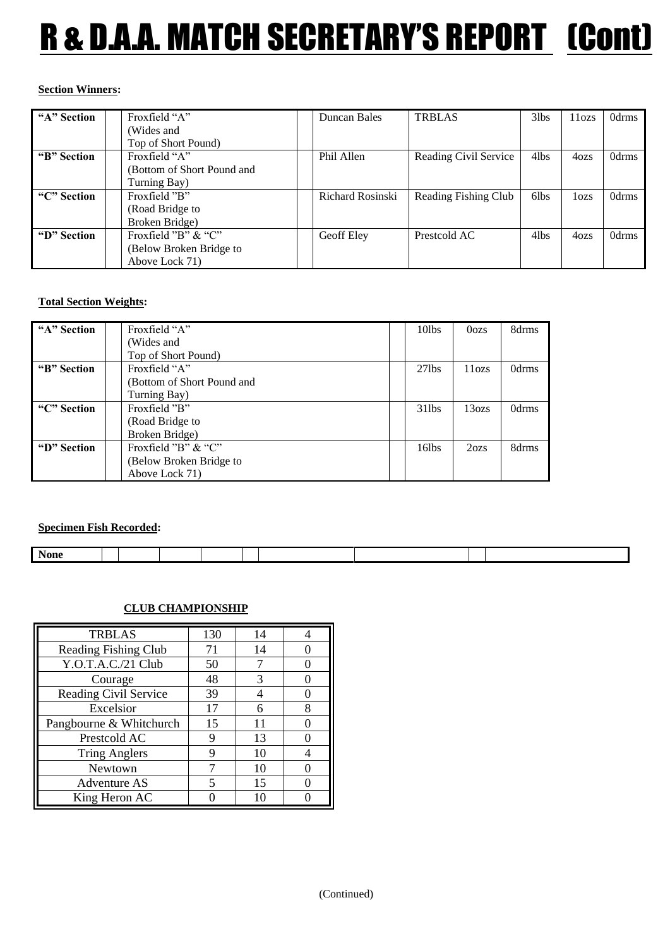# R & D.A.A. MATCH SECRETARY'S REPORT (Cont)

#### **Section Winners:**

| "A" Section | Froxfield "A"              | Duncan Bales     | <b>TRBLAS</b>         | $3$ lbs | 11 <sub>ozs</sub> | 0drms |
|-------------|----------------------------|------------------|-----------------------|---------|-------------------|-------|
|             | (Wides and                 |                  |                       |         |                   |       |
|             | Top of Short Pound)        |                  |                       |         |                   |       |
| "B" Section | Froxfield "A"              | Phil Allen       | Reading Civil Service | 4lbs    | 4 <sub>ozs</sub>  | 0drms |
|             | (Bottom of Short Pound and |                  |                       |         |                   |       |
|             | Turning Bay)               |                  |                       |         |                   |       |
| "C" Section | Froxfield "B"              | Richard Rosinski | Reading Fishing Club  | 6lbs    | 1 <sub>ozs</sub>  | 0drms |
|             | (Road Bridge to            |                  |                       |         |                   |       |
|             | Broken Bridge)             |                  |                       |         |                   |       |
| "D" Section | Froxfield "B" & "C"        | Geoff Eley       | Prestcold AC          | 4lbs    | 4 <sub>ozs</sub>  | 0drms |
|             | (Below Broken Bridge to    |                  |                       |         |                   |       |
|             | Above Lock 71)             |                  |                       |         |                   |       |

#### **Total Section Weights:**

| "A" Section | Froxfield "A"              | 10lbs    | 0 <sub>o</sub>  | 8drms |
|-------------|----------------------------|----------|-----------------|-------|
|             | (Wides and                 |          |                 |       |
|             | Top of Short Pound)        |          |                 |       |
| "B" Section | Froxfield "A"              | $27$ lbs | 11 <sub>o</sub> | 0drms |
|             | (Bottom of Short Pound and |          |                 |       |
|             | Turning Bay)               |          |                 |       |
| "C" Section | Froxfield "B"              | $31$ lbs | 13ozs           | 0drms |
|             | (Road Bridge to            |          |                 |       |
|             | Broken Bridge)             |          |                 |       |
| "D" Section | Froxfield "B" $&$ "C"      | $16$ lbs | 2ozs            | 8drms |
|             | (Below Broken Bridge to    |          |                 |       |
|             | Above Lock 71)             |          |                 |       |

**Specimen Fish Recorded:**

| . .<br>None |  |  |  |  |  |
|-------------|--|--|--|--|--|
|             |  |  |  |  |  |

### **CLUB CHAMPIONSHIP**

| <b>TRBLAS</b>           | 130 | 14 |   |
|-------------------------|-----|----|---|
| Reading Fishing Club    | 71  | 14 |   |
| Y.O.T.A.C./21 Club      | 50  | 7  |   |
| Courage                 | 48  | 3  |   |
| Reading Civil Service   | 39  |    |   |
| Excelsior               | 17  | 6  | 8 |
| Pangbourne & Whitchurch | 15  | 11 |   |
| Prestcold AC            | 9   | 13 |   |
| <b>Tring Anglers</b>    | 9   | 10 |   |
| Newtown                 | 7   | 10 |   |
| <b>Adventure AS</b>     | 5   | 15 |   |
| King Heron AC           |     |    |   |